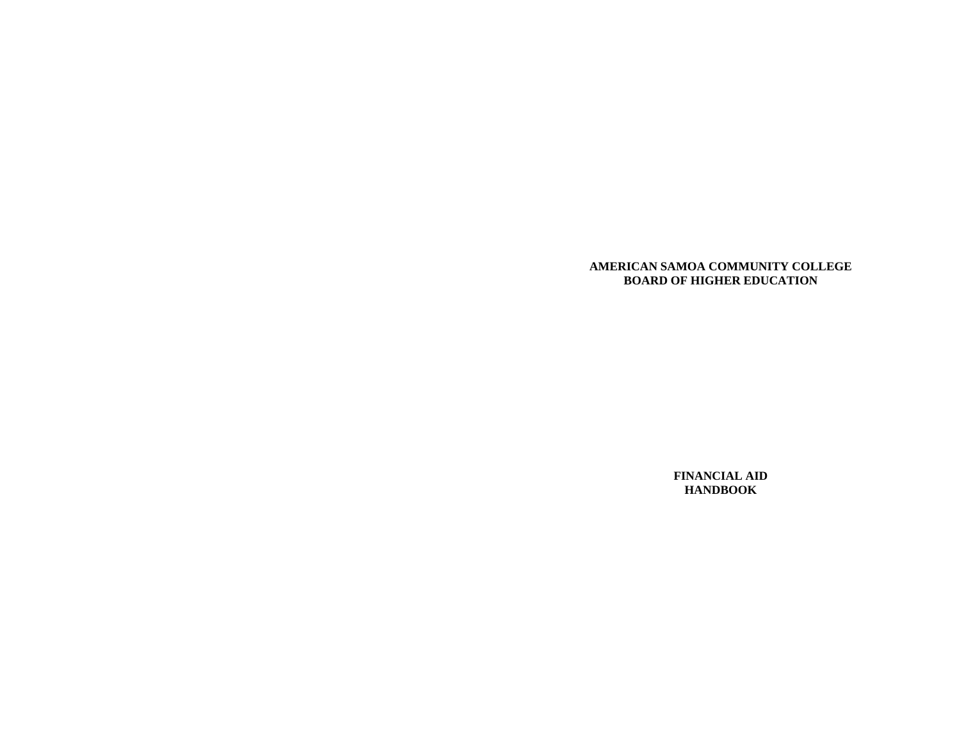### **AMERICAN SAMOA COMMUNITY COLLEGE BOARD OF HIGHER EDUCATION**

**FINANCIAL AID HANDBOOK**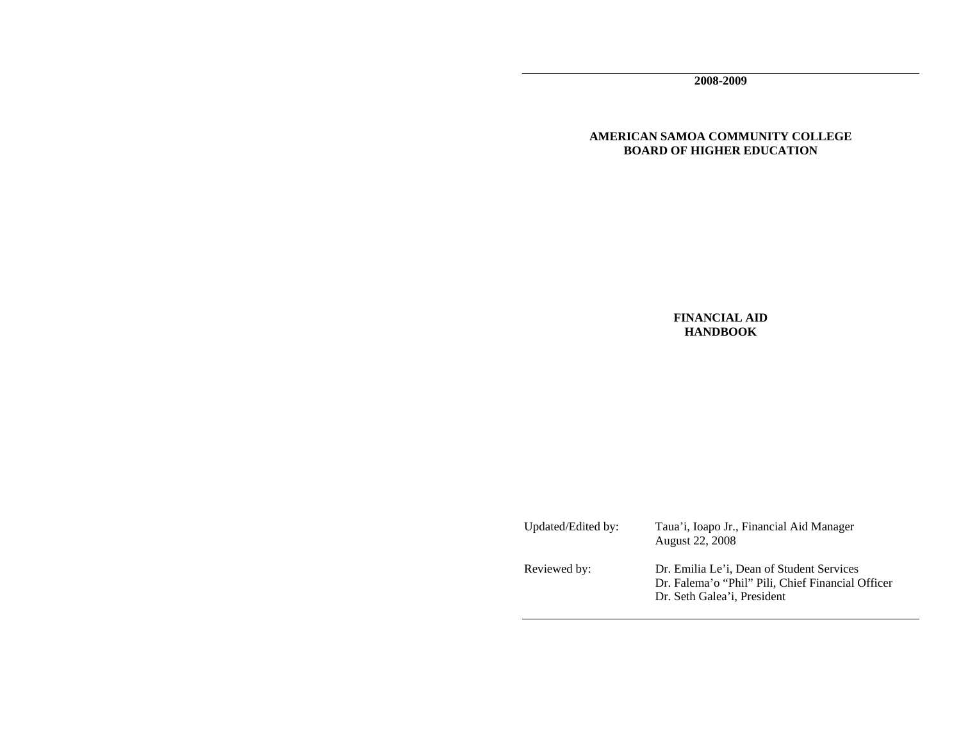**2008-2009** 

# **AMERICAN SAMOA COMMUNITY COLLEGE BOARD OF HIGHER EDUCATION**

**FINANCIAL AID HANDBOOK**

Updated/Edited by: Taua'i, Ioapo Jr., Financial Aid Manager August 22, 2008 Reviewed by: Dr. Emilia Le'i, Dean of Student Services Dr. Falema'o "Phil" Pili, Chief Financial Officer Dr. Seth Galea'i, President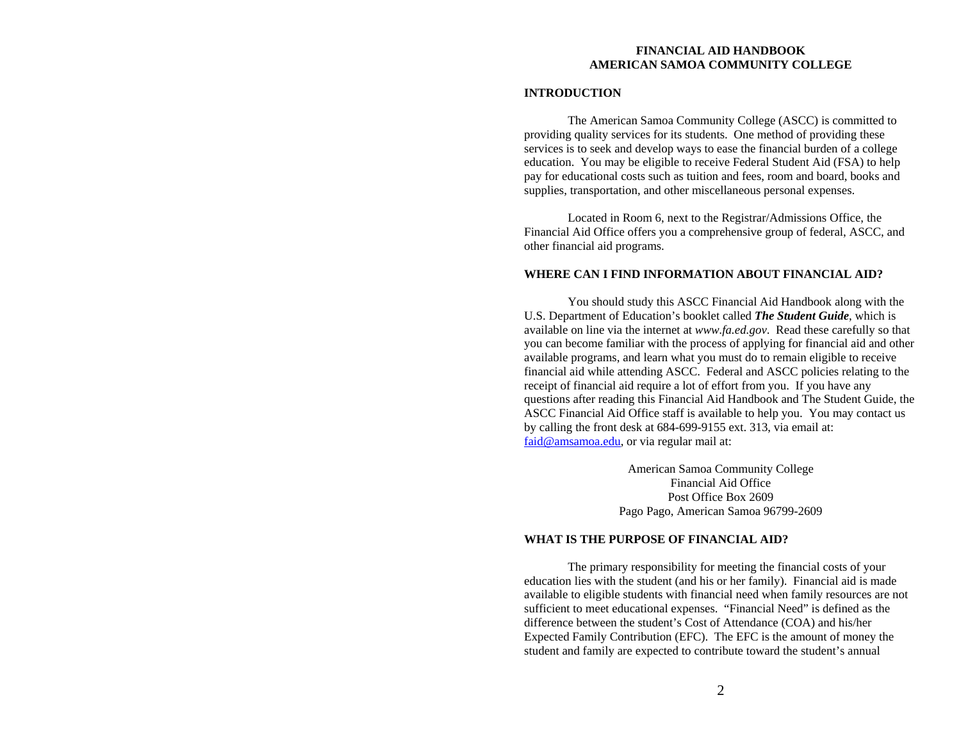# **FINANCIAL AID HANDBOOK AMERICAN SAMOA COMMUNITY COLLEGE**

## **INTRODUCTION**

 The American Samoa Community College (ASCC) is committed to providing quality services for its students. One method of providing these services is to seek and develop ways to ease the financial burden of a college education. You may be eligible to receive Federal Student Aid (FSA) to help pay for educational costs such as tuition and fees, room and board, books and supplies, transportation, and other miscellaneous personal expenses.

 Located in Room 6, next to the Registrar/Admissions Office, the Financial Aid Office offers you a comprehensive group of federal, ASCC, and other financial aid programs.

## **WHERE CAN I FIND INFORMATION ABOUT FINANCIAL AID?**

 You should study this ASCC Financial Aid Handbook along with the U.S. Department of Education's booklet called *The Student Guide*, which is available on line via the internet at *www.fa.ed.gov*. Read these carefully so that you can become familiar with the process of applying for financial aid and other available programs, and learn what you must do to remain eligible to receive financial aid while attending ASCC. Federal and ASCC policies relating to the receipt of financial aid require a lot of effort from you. If you have any questions after reading this Financial Aid Handbook and The Student Guide, the ASCC Financial Aid Office staff is available to help you. You may contact us by calling the front desk at 684-699-9155 ext. 313, via email at: faid@amsamoa.edu, or via regular mail at:

> American Samoa Community College Financial Aid Office Post Office Box 2609 Pago Pago, American Samoa 96799-2609

# **WHAT IS THE PURPOSE OF FINANCIAL AID?**

The primary responsibility for meeting the financial costs of your education lies with the student (and his or her family). Financial aid is made available to eligible students with financial need when family resources are not sufficient to meet educational expenses. "Financial Need" is defined as the difference between the student's Cost of Attendance (COA) and his/her Expected Family Contribution (EFC). The EFC is the amount of money the student and family are expected to contribute toward the student's annual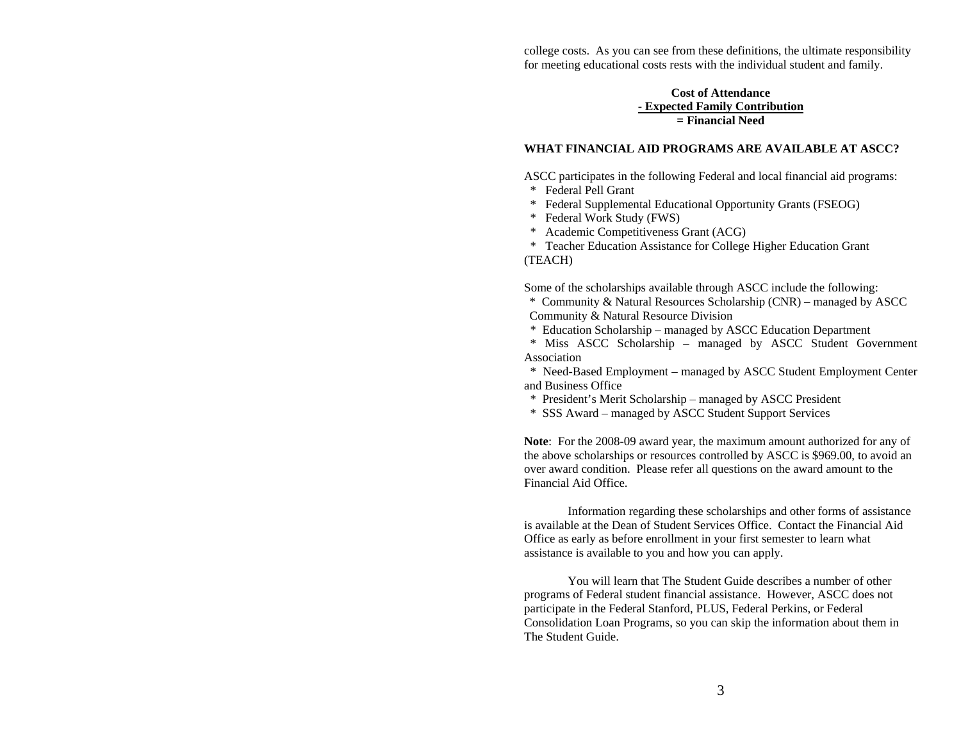college costs. As you can see from these definitions, the ultimate responsibility for meeting educational costs rests with the individual student and family.

# **Cost of Attendance - Expected Family Contribution = Financial Need**

## **WHAT FINANCIAL AID PROGRAMS ARE AVAILABLE AT ASCC?**

ASCC participates in the following Federal and local financial aid programs:

- \* Federal Pell Grant
- \* Federal Supplemental Educational Opportunity Grants (FSEOG)
- \* Federal Work Study (FWS)
- \* Academic Competitiveness Grant (ACG)

 \* Teacher Education Assistance for College Higher Education Grant (TEACH)

Some of the scholarships available through ASCC include the following:

\* Community & Natural Resources Scholarship (CNR) – managed by ASCC Community & Natural Resource Division

\* Education Scholarship – managed by ASCC Education Department

 \* Miss ASCC Scholarship – managed by ASCC Student Government Association

 \* Need-Based Employment – managed by ASCC Student Employment Center and Business Office

\* President's Merit Scholarship – managed by ASCC President

\* SSS Award – managed by ASCC Student Support Services

**Note**: For the 2008-09 award year, the maximum amount authorized for any of the above scholarships or resources controlled by ASCC is \$969.00, to avoid an over award condition. Please refer all questions on the award amount to the Financial Aid Office.

Information regarding these scholarships and other forms of assistance is available at the Dean of Student Services Office. Contact the Financial Aid Office as early as before enrollment in your first semester to learn what assistance is available to you and how you can apply.

You will learn that The Student Guide describes a number of other programs of Federal student financial assistance. However, ASCC does not participate in the Federal Stanford, PLUS, Federal Perkins, or Federal Consolidation Loan Programs, so you can skip the information about them in The Student Guide.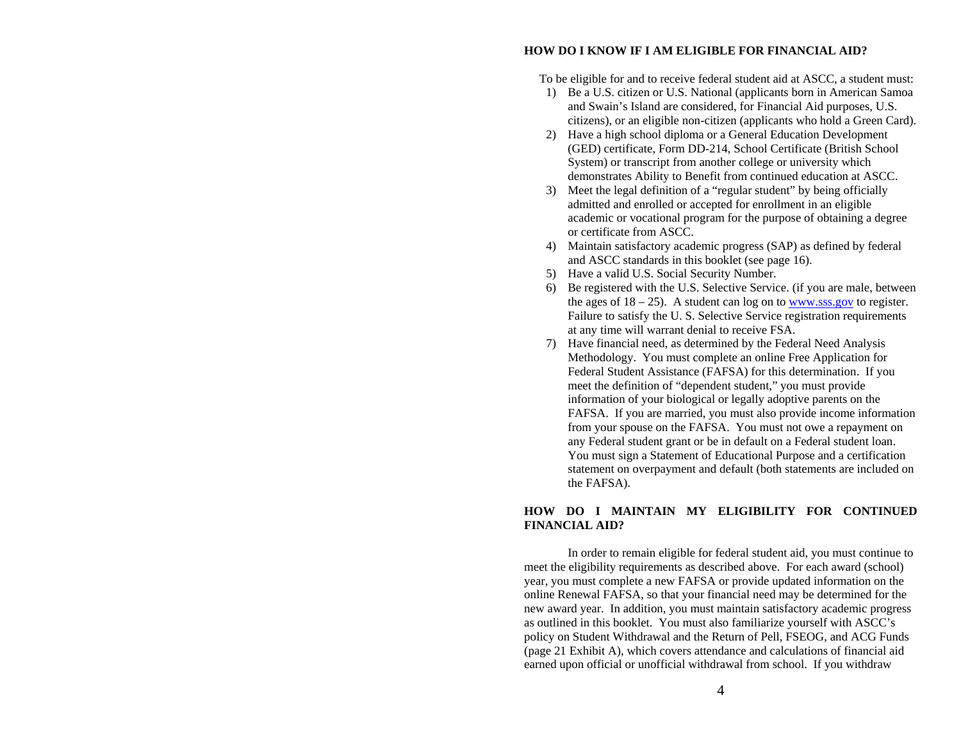## **HOW DO I KNOW IF I AM ELIGIBLE FOR FINANCIAL AID?**

To be eligible for and to receive federal student aid at ASCC, a student must:

- 1) Be a U.S. citizen or U.S. National (applicants born in American Samoa and Swain's Island are considered, for Financial Aid purposes, U.S. citizens), or an eligible non-citizen (applicants who hold a Green Card).
- 2) Have a high school diploma or a General Education Development (GED) certificate, Form DD-214, School Certificate (British School System) or transcript from another college or university which demonstrates Ability to Benefit from continued education at ASCC.
- 3) Meet the legal definition of a "regular student" by being officially admitted and enrolled or accepted for enrollment in an eligible academic or vocational program for the purpose of obtaining a degree or certificate from ASCC.
- 4) Maintain satisfactory academic progress (SAP) as defined by federal and ASCC standards in this booklet (see page 16).
- 5) Have a valid U.S. Social Security Number.
- 6) Be registered with the U.S. Selective Service. (if you are male, between the ages of  $18 - 25$ ). A student can log on to www.sss.gov to register. Failure to satisfy the U. S. Selective Service registration requirements at any time will warrant denial to receive FSA.
- 7) Have financial need, as determined by the Federal Need Analysis Methodology. You must complete an online Free Application for Federal Student Assistance (FAFSA) for this determination. If you meet the definition of "dependent student," you must provide information of your biological or legally adoptive parents on the FAFSA. If you are married, you must also provide income information from your spouse on the FAFSA. You must not owe a repayment on any Federal student grant or be in default on a Federal student loan. You must sign a Statement of Educational Purpose and a certification statement on overpayment and default (both statements are included on the FAFSA).

# **HOW DO I MAINTAIN MY ELIGIBILITY FOR CONTINUED FINANCIAL AID?**

 In order to remain eligible for federal student aid, you must continue to meet the eligibility requirements as described above. For each award (school) year, you must complete a new FAFSA or provide updated information on the online Renewal FAFSA, so that your financial need may be determined for the new award year. In addition, you must maintain satisfactory academic progress as outlined in this booklet. You must also familiarize yourself with ASCC's policy on Student Withdrawal and the Return of Pell, FSEOG, and ACG Funds (page 21 Exhibit A), which covers attendance and calculations of financial aid earned upon official or unofficial withdrawal from school. If you withdraw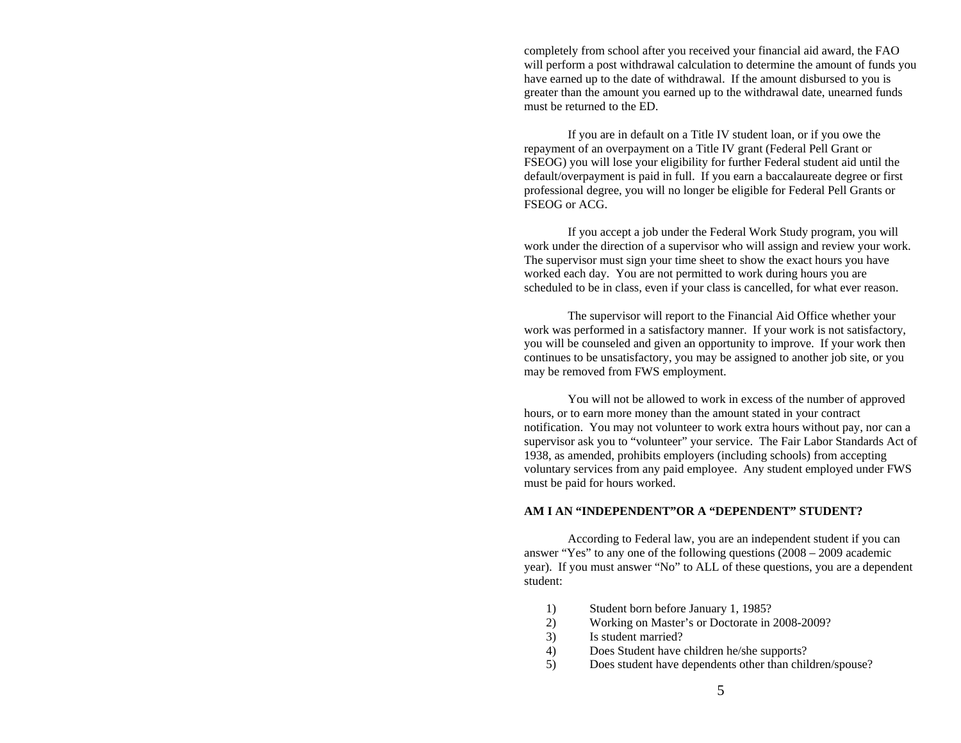completely from school after you received your financial aid award, the FAO will perform a post withdrawal calculation to determine the amount of funds you have earned up to the date of withdrawal. If the amount disbursed to you is greater than the amount you earned up to the withdrawal date, unearned funds must be returned to the ED.

If you are in default on a Title IV student loan, or if you owe the repayment of an overpayment on a Title IV grant (Federal Pell Grant or FSEOG) you will lose your eligibility for further Federal student aid until the default/overpayment is paid in full. If you earn a baccalaureate degree or first professional degree, you will no longer be eligible for Federal Pell Grants or FSEOG or ACG.

 If you accept a job under the Federal Work Study program, you will work under the direction of a supervisor who will assign and review your work. The supervisor must sign your time sheet to show the exact hours you have worked each day. You are not permitted to work during hours you are scheduled to be in class, even if your class is cancelled, for what ever reason.

The supervisor will report to the Financial Aid Office whether your work was performed in a satisfactory manner. If your work is not satisfactory, you will be counseled and given an opportunity to improve. If your work then continues to be unsatisfactory, you may be assigned to another job site, or you may be removed from FWS employment.

 You will not be allowed to work in excess of the number of approved hours, or to earn more money than the amount stated in your contract notification. You may not volunteer to work extra hours without pay, nor can a supervisor ask you to "volunteer" your service. The Fair Labor Standards Act of 1938, as amended, prohibits employers (including schools) from accepting voluntary services from any paid employee. Any student employed under FWS must be paid for hours worked.

### **AM I AN "INDEPENDENT"OR A "DEPENDENT" STUDENT?**

 According to Federal law, you are an independent student if you can answer "Yes" to any one of the following questions (2008 – 2009 academic year). If you must answer "No" to ALL of these questions, you are a dependent student:

- 1) Student born before January 1, 1985?
- 2) Working on Master's or Doctorate in 2008-2009?
- 3) Is student married?
- 4) Does Student have children he/she supports?
- 5) Does student have dependents other than children/spouse?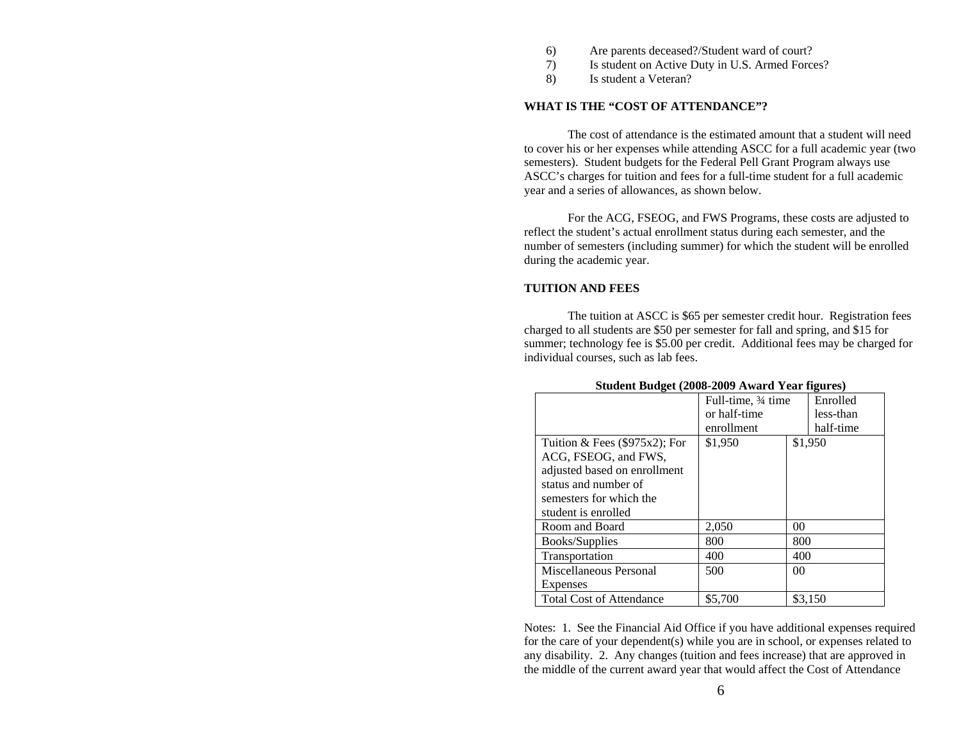- 6) Are parents deceased?/Student ward of court?
- 7) Is student on Active Duty in U.S. Armed Forces?
- 8) Is student a Veteran?

#### **WHAT IS THE "COST OF ATTENDANCE"?**

 The cost of attendance is the estimated amount that a student will need to cover his or her expenses while attending ASCC for a full academic year (two semesters). Student budgets for the Federal Pell Grant Program always use ASCC's charges for tuition and fees for a full-time student for a full academic year and a series of allowances, as shown below.

For the ACG, FSEOG, and FWS Programs, these costs are adjusted to reflect the student's actual enrollment status during each semester, and the number of semesters (including summer) for which the student will be enrolled during the academic year.

# **TUITION AND FEES**

The tuition at ASCC is \$65 per semester credit hour. Registration fees charged to all students are \$50 per semester for fall and spring, and \$15 for summer; technology fee is \$5.00 per credit. Additional fees may be charged for individual courses, such as lab fees.

|                                  | Full-time, 34 time |                | Enrolled  |
|----------------------------------|--------------------|----------------|-----------|
|                                  | or half-time       |                | less-than |
|                                  | enrollment         |                | half-time |
| Tuition & Fees $(\$975x2)$ ; For | \$1,950            |                | \$1,950   |
| ACG, FSEOG, and FWS,             |                    |                |           |
| adjusted based on enrollment     |                    |                |           |
| status and number of             |                    |                |           |
| semesters for which the          |                    |                |           |
| student is enrolled              |                    |                |           |
| Room and Board                   | 2,050              | 00             |           |
| Books/Supplies                   | 800                | 800            |           |
| Transportation                   | 400                | 400            |           |
| Miscellaneous Personal           | 500                | 0 <sup>0</sup> |           |
| Expenses                         |                    |                |           |
| <b>Total Cost of Attendance</b>  | \$5,700            |                | \$3.150   |

# **Student Budget (2008-2009 Award Year figures)**

Notes: 1. See the Financial Aid Office if you have additional expenses required for the care of your dependent(s) while you are in school, or expenses related to any disability. 2. Any changes (tuition and fees increase) that are approved in the middle of the current award year that would affect the Cost of Attendance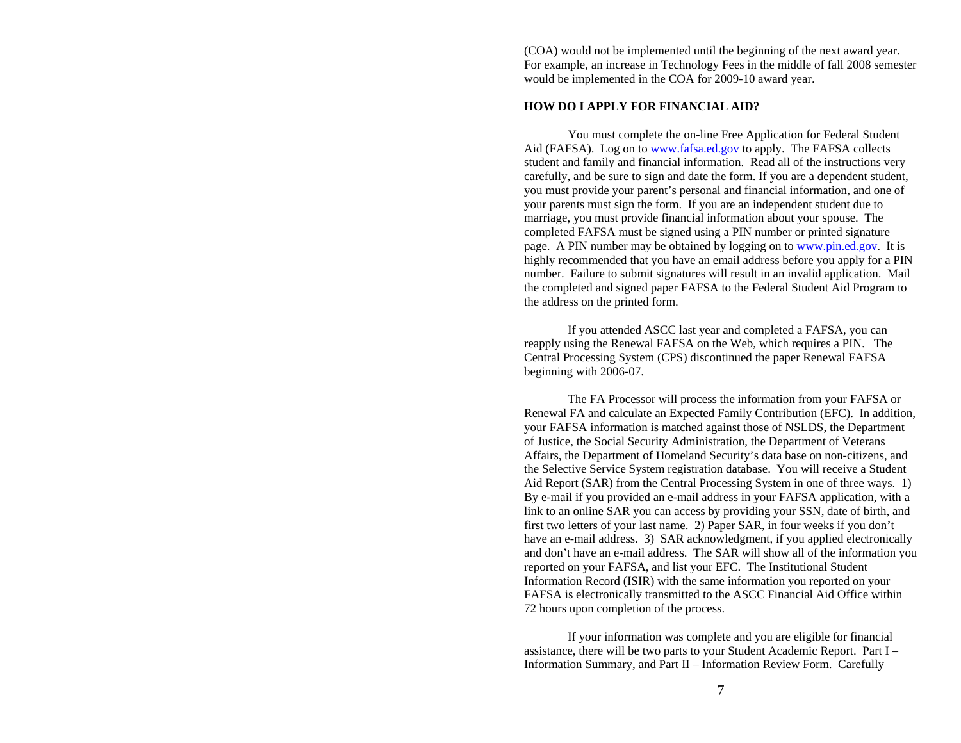(COA) would not be implemented until the beginning of the next award year. For example, an increase in Technology Fees in the middle of fall 2008 semester would be implemented in the COA for 2009-10 award year.

#### **HOW DO I APPLY FOR FINANCIAL AID?**

 You must complete the on-line Free Application for Federal Student Aid (FAFSA). Log on to **www.fafsa.ed.gov** to apply. The FAFSA collects student and family and financial information. Read all of the instructions very carefully, and be sure to sign and date the form. If you are a dependent student, you must provide your parent's personal and financial information, and one of your parents must sign the form. If you are an independent student due to marriage, you must provide financial information about your spouse. The completed FAFSA must be signed using a PIN number or printed signature page. A PIN number may be obtained by logging on to www.pin.ed.gov. It is highly recommended that you have an email address before you apply for a PIN number. Failure to submit signatures will result in an invalid application. Mail the completed and signed paper FAFSA to the Federal Student Aid Program to the address on the printed form.

 If you attended ASCC last year and completed a FAFSA, you can reapply using the Renewal FAFSA on the Web, which requires a PIN. The Central Processing System (CPS) discontinued the paper Renewal FAFSA beginning with 2006-07.

 The FA Processor will process the information from your FAFSA or Renewal FA and calculate an Expected Family Contribution (EFC). In addition, your FAFSA information is matched against those of NSLDS, the Department of Justice, the Social Security Administration, the Department of Veterans Affairs, the Department of Homeland Security's data base on non-citizens, and the Selective Service System registration database. You will receive a Student Aid Report (SAR) from the Central Processing System in one of three ways. 1) By e-mail if you provided an e-mail address in your FAFSA application, with a link to an online SAR you can access by providing your SSN, date of birth, and first two letters of your last name. 2) Paper SAR, in four weeks if you don't have an e-mail address. 3) SAR acknowledgment, if you applied electronically and don't have an e-mail address. The SAR will show all of the information you reported on your FAFSA, and list your EFC. The Institutional Student Information Record (ISIR) with the same information you reported on your FAFSA is electronically transmitted to the ASCC Financial Aid Office within 72 hours upon completion of the process.

 If your information was complete and you are eligible for financial assistance, there will be two parts to your Student Academic Report. Part I – Information Summary, and Part II – Information Review Form. Carefully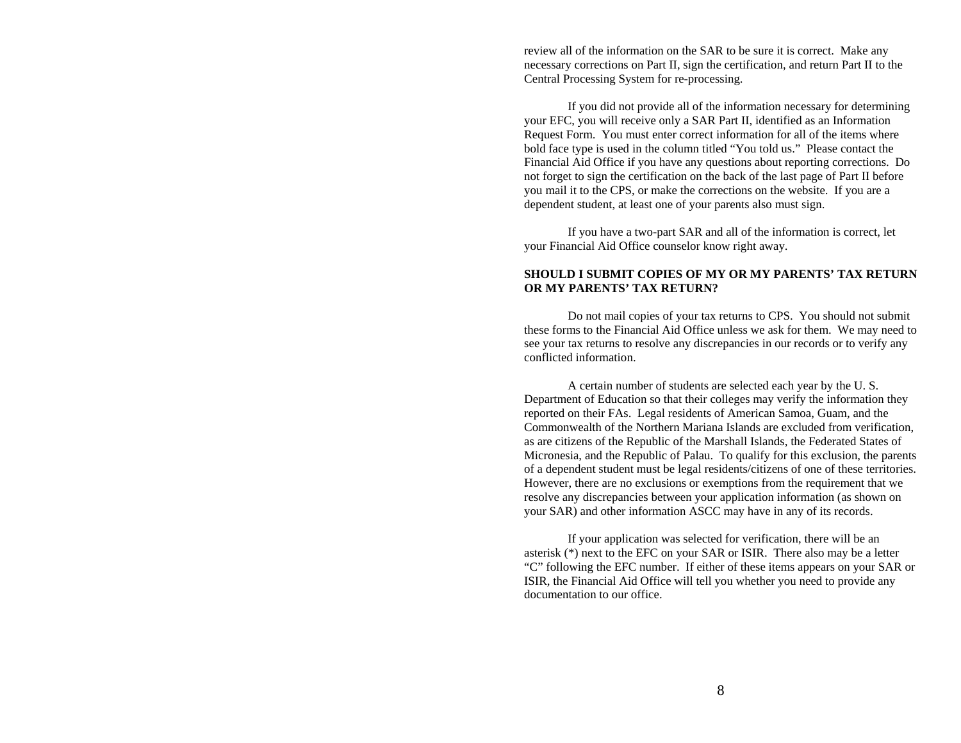review all of the information on the SAR to be sure it is correct. Make any necessary corrections on Part II, sign the certification, and return Part II to the Central Processing System for re-processing.

 If you did not provide all of the information necessary for determining your EFC, you will receive only a SAR Part II, identified as an Information Request Form. You must enter correct information for all of the items where bold face type is used in the column titled "You told us." Please contact the Financial Aid Office if you have any questions about reporting corrections. Do not forget to sign the certification on the back of the last page of Part II before you mail it to the CPS, or make the corrections on the website. If you are a dependent student, at least one of your parents also must sign.

 If you have a two-part SAR and all of the information is correct, let your Financial Aid Office counselor know right away.

# **SHOULD I SUBMIT COPIES OF MY OR MY PARENTS' TAX RETURN OR MY PARENTS' TAX RETURN?**

 Do not mail copies of your tax returns to CPS. You should not submit these forms to the Financial Aid Office unless we ask for them. We may need to see your tax returns to resolve any discrepancies in our records or to verify any conflicted information.

 A certain number of students are selected each year by the U. S. Department of Education so that their colleges may verify the information they reported on their FAs. Legal residents of American Samoa, Guam, and the Commonwealth of the Northern Mariana Islands are excluded from verification, as are citizens of the Republic of the Marshall Islands, the Federated States of Micronesia, and the Republic of Palau. To qualify for this exclusion, the parents of a dependent student must be legal residents/citizens of one of these territories. However, there are no exclusions or exemptions from the requirement that we resolve any discrepancies between your application information (as shown on your SAR) and other information ASCC may have in any of its records.

 If your application was selected for verification, there will be an asterisk (\*) next to the EFC on your SAR or ISIR. There also may be a letter "C" following the EFC number. If either of these items appears on your SAR or ISIR, the Financial Aid Office will tell you whether you need to provide any documentation to our office.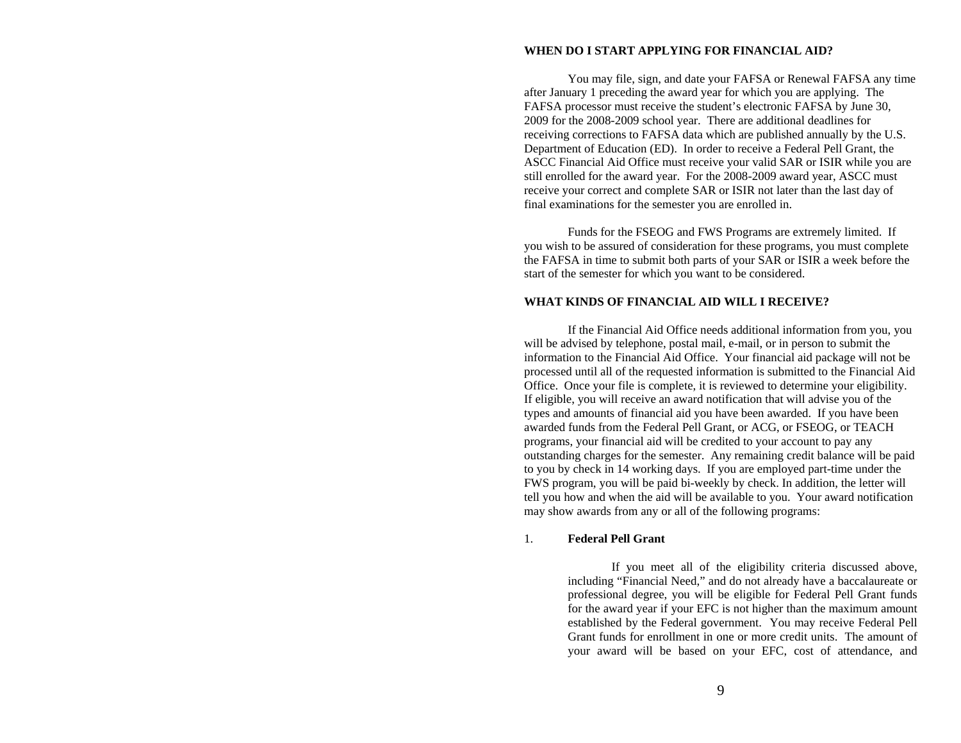## **WHEN DO I START APPLYING FOR FINANCIAL AID?**

 You may file, sign, and date your FAFSA or Renewal FAFSA any time after January 1 preceding the award year for which you are applying. The FAFSA processor must receive the student's electronic FAFSA by June 30, 2009 for the 2008-2009 school year. There are additional deadlines for receiving corrections to FAFSA data which are published annually by the U.S. Department of Education (ED). In order to receive a Federal Pell Grant, the ASCC Financial Aid Office must receive your valid SAR or ISIR while you are still enrolled for the award year. For the 2008-2009 award year, ASCC must receive your correct and complete SAR or ISIR not later than the last day of final examinations for the semester you are enrolled in.

 Funds for the FSEOG and FWS Programs are extremely limited. If you wish to be assured of consideration for these programs, you must complete the FAFSA in time to submit both parts of your SAR or ISIR a week before the start of the semester for which you want to be considered.

## **WHAT KINDS OF FINANCIAL AID WILL I RECEIVE?**

 If the Financial Aid Office needs additional information from you, you will be advised by telephone, postal mail, e-mail, or in person to submit the information to the Financial Aid Office. Your financial aid package will not be processed until all of the requested information is submitted to the Financial Aid Office. Once your file is complete, it is reviewed to determine your eligibility. If eligible, you will receive an award notification that will advise you of the types and amounts of financial aid you have been awarded. If you have been awarded funds from the Federal Pell Grant, or ACG, or FSEOG, or TEACH programs, your financial aid will be credited to your account to pay any outstanding charges for the semester. Any remaining credit balance will be paid to you by check in 14 working days. If you are employed part-time under the FWS program, you will be paid bi-weekly by check. In addition, the letter will tell you how and when the aid will be available to you. Your award notification may show awards from any or all of the following programs:

# 1. **Federal Pell Grant**

If you meet all of the eligibility criteria discussed above, including "Financial Need," and do not already have a baccalaureate or professional degree, you will be eligible for Federal Pell Grant funds for the award year if your EFC is not higher than the maximum amount established by the Federal government. You may receive Federal Pell Grant funds for enrollment in one or more credit units. The amount of your award will be based on your EFC, cost of attendance, and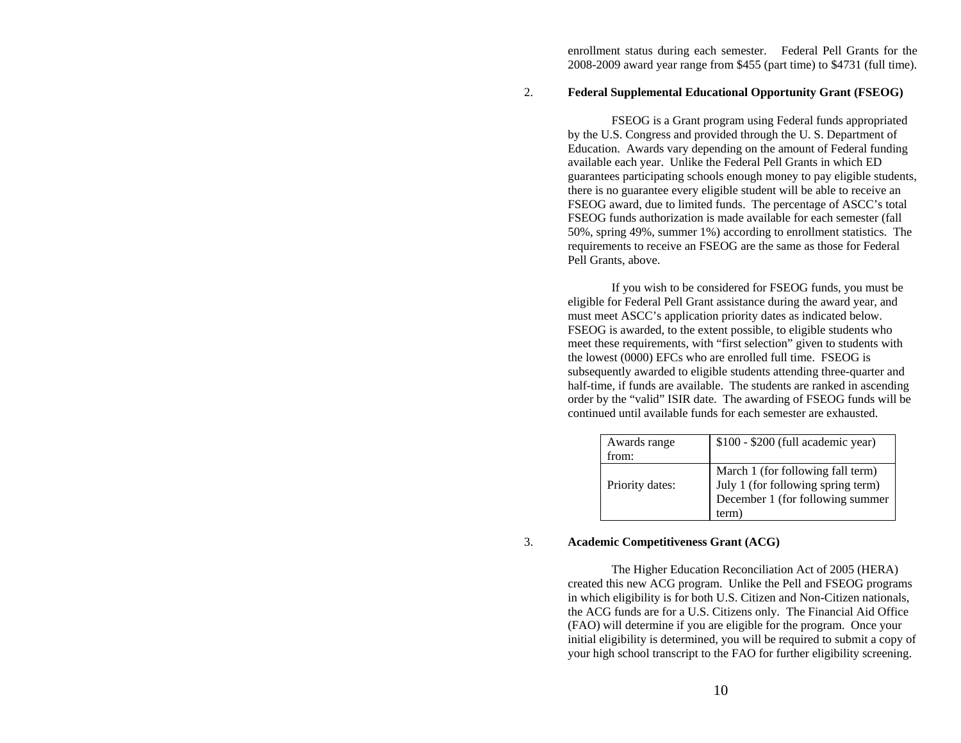enrollment status during each semester. Federal Pell Grants for the 2008-2009 award year range from \$455 (part time) to \$4731 (full time).

# 2. **Federal Supplemental Educational Opportunity Grant (FSEOG)**

FSEOG is a Grant program using Federal funds appropriated by the U.S. Congress and provided through the U. S. Department of Education. Awards vary depending on the amount of Federal funding available each year. Unlike the Federal Pell Grants in which ED guarantees participating schools enough money to pay eligible students, there is no guarantee every eligible student will be able to receive an FSEOG award, due to limited funds. The percentage of ASCC's total FSEOG funds authorization is made available for each semester (fall 50%, spring 49%, summer 1%) according to enrollment statistics. The requirements to receive an FSEOG are the same as those for Federal Pell Grants, above.

 If you wish to be considered for FSEOG funds, you must be eligible for Federal Pell Grant assistance during the award year, and must meet ASCC's application priority dates as indicated below. FSEOG is awarded, to the extent possible, to eligible students who meet these requirements, with "first selection" given to students with the lowest (0000) EFCs who are enrolled full time. FSEOG is subsequently awarded to eligible students attending three-quarter and half-time, if funds are available. The students are ranked in ascending order by the "valid" ISIR date. The awarding of FSEOG funds will be continued until available funds for each semester are exhausted.

| Awards range<br>from: | $$100 - $200$ (full academic year)                                                                                   |
|-----------------------|----------------------------------------------------------------------------------------------------------------------|
| Priority dates:       | March 1 (for following fall term)<br>July 1 (for following spring term)<br>December 1 (for following summer<br>term) |

### 3. **Academic Competitiveness Grant (ACG)**

The Higher Education Reconciliation Act of 2005 (HERA) created this new ACG program. Unlike the Pell and FSEOG programs in which eligibility is for both U.S. Citizen and Non-Citizen nationals, the ACG funds are for a U.S. Citizens only. The Financial Aid Office (FAO) will determine if you are eligible for the program. Once your initial eligibility is determined, you will be required to submit a copy of your high school transcript to the FAO for further eligibility screening.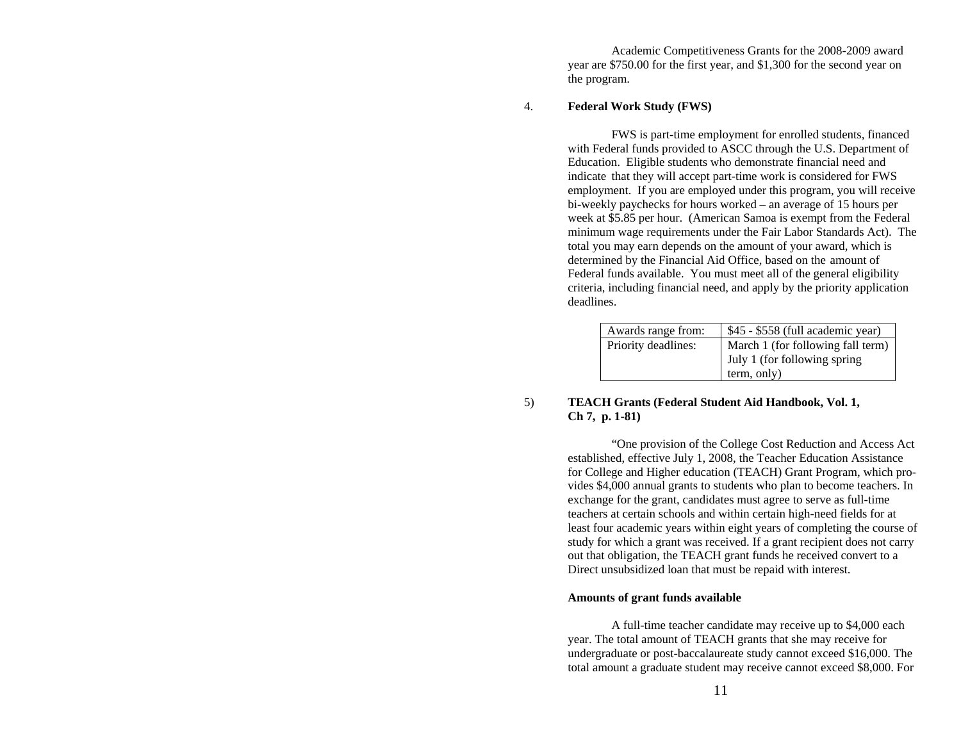Academic Competitiveness Grants for the 2008-2009 award year are \$750.00 for the first year, and \$1,300 for the second year on the program.

## 4. **Federal Work Study (FWS)**

FWS is part-time employment for enrolled students, financed with Federal funds provided to ASCC through the U.S. Department of Education. Eligible students who demonstrate financial need and indicate that they will accept part-time work is considered for FWS employment. If you are employed under this program, you will receive bi-weekly paychecks for hours worked – an average of 15 hours per week at \$5.85 per hour. (American Samoa is exempt from the Federal minimum wage requirements under the Fair Labor Standards Act). The total you may earn depends on the amount of your award, which is determined by the Financial Aid Office, based on the amount of Federal funds available. You must meet all of the general eligibility criteria, including financial need, and apply by the priority application deadlines.

| Awards range from:  | \$45 - \$558 (full academic year) |
|---------------------|-----------------------------------|
| Priority deadlines: | March 1 (for following fall term) |
|                     | July 1 (for following spring      |
|                     | term, only)                       |

# 5) **TEACH Grants (Federal Student Aid Handbook, Vol. 1, Ch 7, p. 1-81)**

"One provision of the College Cost Reduction and Access Act established, effective July 1, 2008, the Teacher Education Assistance for College and Higher education (TEACH) Grant Program, which provides \$4,000 annual grants to students who plan to become teachers. In exchange for the grant, candidates must agree to serve as full-time teachers at certain schools and within certain high-need fields for at least four academic years within eight years of completing the course of study for which a grant was received. If a grant recipient does not carry out that obligation, the TEACH grant funds he received convert to a Direct unsubsidized loan that must be repaid with interest.

## **Amounts of grant funds available**

A full-time teacher candidate may receive up to \$4,000 each year. The total amount of TEACH grants that she may receive for undergraduate or post-baccalaureate study cannot exceed \$16,000. The total amount a graduate student may receive cannot exceed \$8,000. For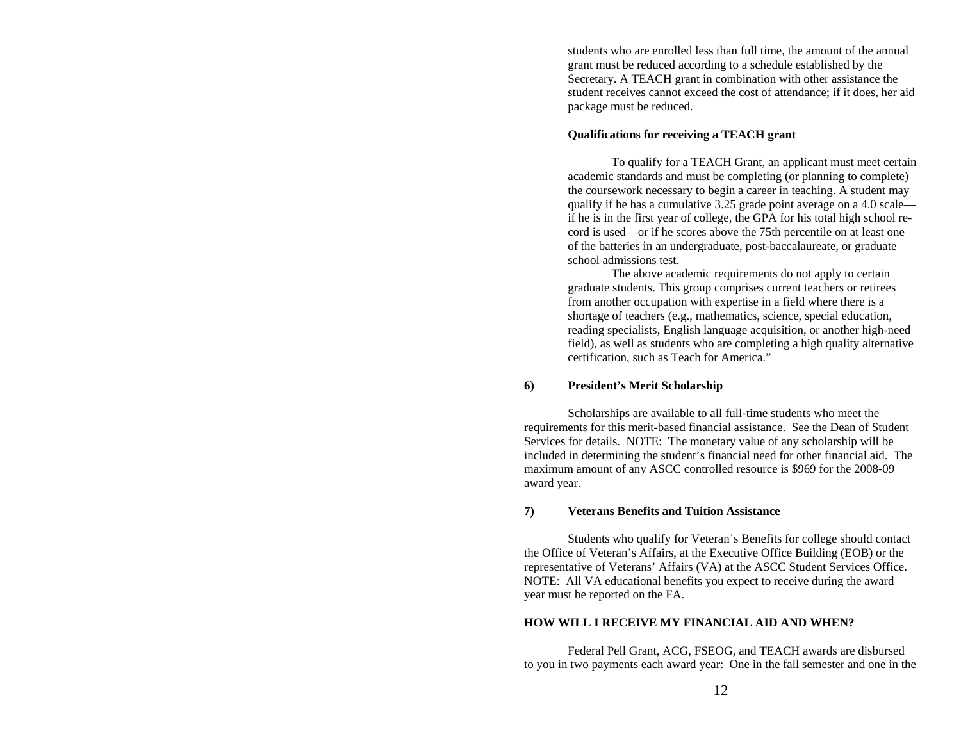students who are enrolled less than full time, the amount of the annual grant must be reduced according to a schedule established by the Secretary. A TEACH grant in combination with other assistance the student receives cannot exceed the cost of attendance; if it does, her aid package must be reduced.

# **Qualifications for receiving a TEACH grant**

To qualify for a TEACH Grant, an applicant must meet certain academic standards and must be completing (or planning to complete) the coursework necessary to begin a career in teaching. A student may qualify if he has a cumulative 3.25 grade point average on a 4.0 scale if he is in the first year of college, the GPA for his total high school record is used—or if he scores above the 75th percentile on at least one of the batteries in an undergraduate, post-baccalaureate, or graduate school admissions test.

The above academic requirements do not apply to certain graduate students. This group comprises current teachers or retirees from another occupation with expertise in a field where there is a shortage of teachers (e.g., mathematics, science, special education, reading specialists, English language acquisition, or another high-need field), as well as students who are completing a high quality alternative certification, such as Teach for America."

## **6) President's Merit Scholarship**

Scholarships are available to all full-time students who meet the requirements for this merit-based financial assistance. See the Dean of Student Services for details. NOTE: The monetary value of any scholarship will be included in determining the student's financial need for other financial aid. The maximum amount of any ASCC controlled resource is \$969 for the 2008-09 award year.

### **7) Veterans Benefits and Tuition Assistance**

Students who qualify for Veteran's Benefits for college should contact the Office of Veteran's Affairs, at the Executive Office Building (EOB) or the representative of Veterans' Affairs (VA) at the ASCC Student Services Office. NOTE: All VA educational benefits you expect to receive during the award year must be reported on the FA.

# **HOW WILL I RECEIVE MY FINANCIAL AID AND WHEN?**

Federal Pell Grant, ACG, FSEOG, and TEACH awards are disbursed to you in two payments each award year: One in the fall semester and one in the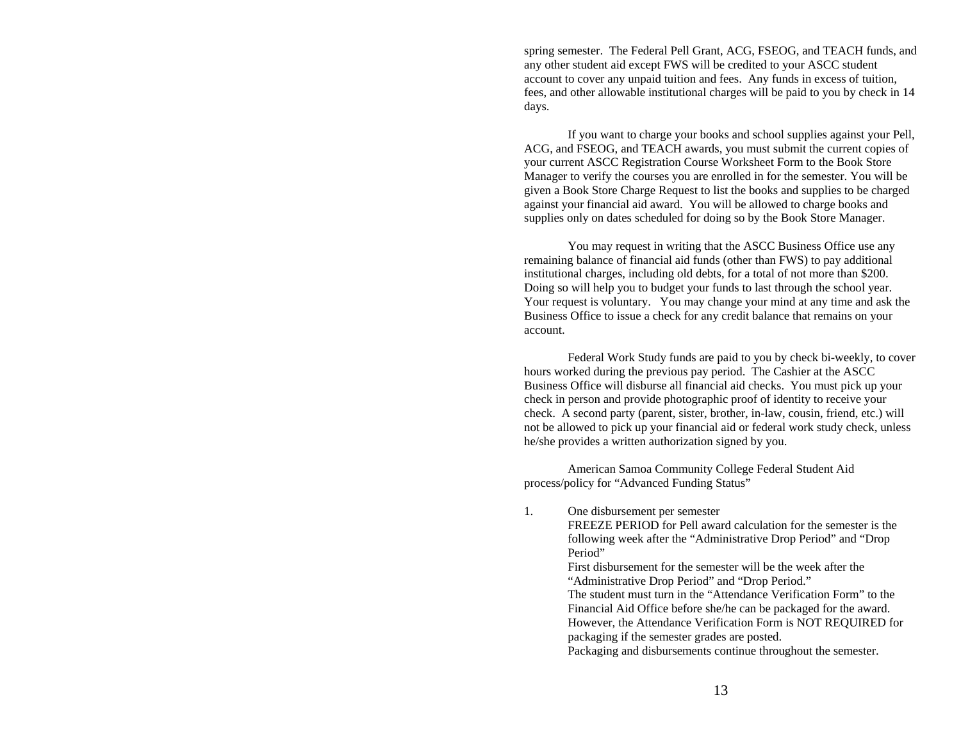spring semester. The Federal Pell Grant, ACG, FSEOG, and TEACH funds, and any other student aid except FWS will be credited to your ASCC student account to cover any unpaid tuition and fees. Any funds in excess of tuition, fees, and other allowable institutional charges will be paid to you by check in 14 days.

If you want to charge your books and school supplies against your Pell, ACG, and FSEOG, and TEACH awards, you must submit the current copies of your current ASCC Registration Course Worksheet Form to the Book Store Manager to verify the courses you are enrolled in for the semester. You will be given a Book Store Charge Request to list the books and supplies to be charged against your financial aid award. You will be allowed to charge books and supplies only on dates scheduled for doing so by the Book Store Manager.

 You may request in writing that the ASCC Business Office use any remaining balance of financial aid funds (other than FWS) to pay additional institutional charges, including old debts, for a total of not more than \$200. Doing so will help you to budget your funds to last through the school year. Your request is voluntary. You may change your mind at any time and ask the Business Office to issue a check for any credit balance that remains on your account.

 Federal Work Study funds are paid to you by check bi-weekly, to cover hours worked during the previous pay period. The Cashier at the ASCC Business Office will disburse all financial aid checks. You must pick up your check in person and provide photographic proof of identity to receive your check. A second party (parent, sister, brother, in-law, cousin, friend, etc.) will not be allowed to pick up your financial aid or federal work study check, unless he/she provides a written authorization signed by you.

American Samoa Community College Federal Student Aid process/policy for "Advanced Funding Status"

1. One disbursement per semester FREEZE PERIOD for Pell award calculation for the semester is the

following week after the "Administrative Drop Period" and "Drop Period"

First disbursement for the semester will be the week after the "Administrative Drop Period" and "Drop Period."

The student must turn in the "Attendance Verification Form" to the Financial Aid Office before she/he can be packaged for the award. However, the Attendance Verification Form is NOT REQUIRED for packaging if the semester grades are posted.

Packaging and disbursements continue throughout the semester.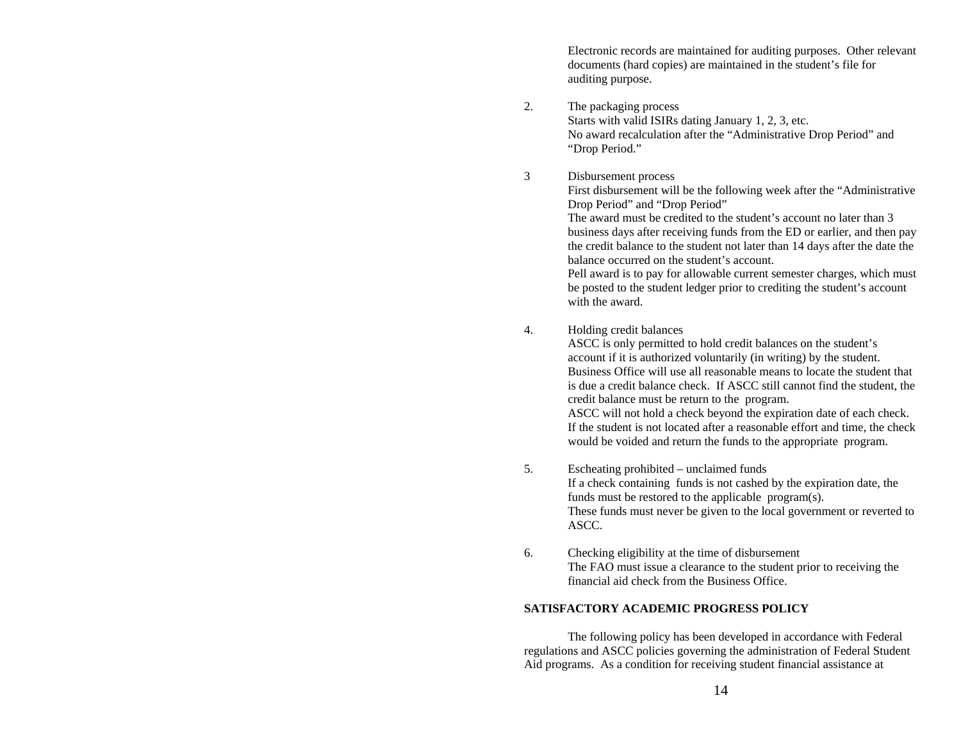Electronic records are maintained for auditing purposes. Other relevant documents (hard copies) are maintained in the student's file for auditing purpose.

2. The packaging process Starts with valid ISIRs dating January 1, 2, 3, etc. No award recalculation after the "Administrative Drop Period" and "Drop Period."

# 3 Disbursement process

First disbursement will be the following week after the "Administrative Drop Period" and "Drop Period"

The award must be credited to the student's account no later than 3 business days after receiving funds from the ED or earlier, and then pay the credit balance to the student not later than 14 days after the date the balance occurred on the student's account.

Pell award is to pay for allowable current semester charges, which must be posted to the student ledger prior to crediting the student's account with the award.

# 4. Holding credit balances

ASCC is only permitted to hold credit balances on the student's account if it is authorized voluntarily (in writing) by the student. Business Office will use all reasonable means to locate the student that is due a credit balance check. If ASCC still cannot find the student, the credit balance must be return to the program.

ASCC will not hold a check beyond the expiration date of each check. If the student is not located after a reasonable effort and time, the check would be voided and return the funds to the appropriate program.

- 5. Escheating prohibited unclaimed funds If a check containing funds is not cashed by the expiration date, the funds must be restored to the applicable program(s). These funds must never be given to the local government or reverted to ASCC.
- 6. Checking eligibility at the time of disbursement The FAO must issue a clearance to the student prior to receiving the financial aid check from the Business Office.

# **SATISFACTORY ACADEMIC PROGRESS POLICY**

 The following policy has been developed in accordance with Federal regulations and ASCC policies governing the administration of Federal Student Aid programs. As a condition for receiving student financial assistance at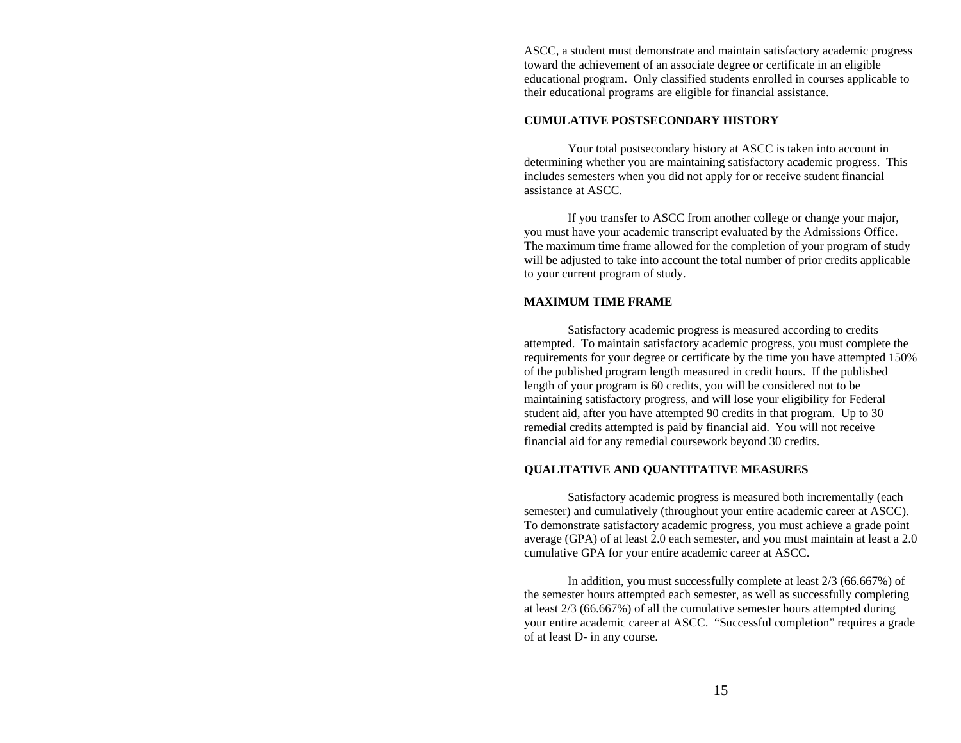ASCC, a student must demonstrate and maintain satisfactory academic progress toward the achievement of an associate degree or certificate in an eligible educational program. Only classified students enrolled in courses applicable to their educational programs are eligible for financial assistance.

# **CUMULATIVE POSTSECONDARY HISTORY**

 Your total postsecondary history at ASCC is taken into account in determining whether you are maintaining satisfactory academic progress. This includes semesters when you did not apply for or receive student financial assistance at ASCC.

 If you transfer to ASCC from another college or change your major, you must have your academic transcript evaluated by the Admissions Office. The maximum time frame allowed for the completion of your program of study will be adjusted to take into account the total number of prior credits applicable to your current program of study.

## **MAXIMUM TIME FRAME**

 Satisfactory academic progress is measured according to credits attempted. To maintain satisfactory academic progress, you must complete the requirements for your degree or certificate by the time you have attempted 150% of the published program length measured in credit hours. If the published length of your program is 60 credits, you will be considered not to be maintaining satisfactory progress, and will lose your eligibility for Federal student aid, after you have attempted 90 credits in that program. Up to 30 remedial credits attempted is paid by financial aid. You will not receive financial aid for any remedial coursework beyond 30 credits.

## **QUALITATIVE AND QUANTITATIVE MEASURES**

 Satisfactory academic progress is measured both incrementally (each semester) and cumulatively (throughout your entire academic career at ASCC). To demonstrate satisfactory academic progress, you must achieve a grade point average (GPA) of at least 2.0 each semester, and you must maintain at least a 2.0 cumulative GPA for your entire academic career at ASCC.

 In addition, you must successfully complete at least 2/3 (66.667%) of the semester hours attempted each semester, as well as successfully completing at least 2/3 (66.667%) of all the cumulative semester hours attempted during your entire academic career at ASCC. "Successful completion" requires a grade of at least D- in any course.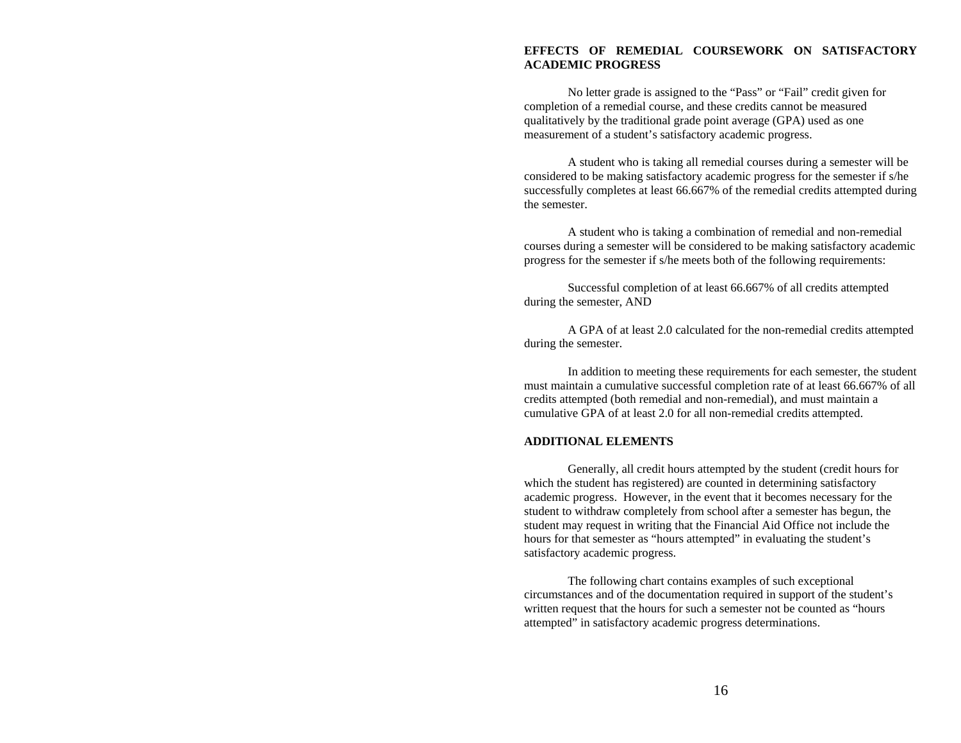# **EFFECTS OF REMEDIAL COURSEWORK ON SATISFACTORY ACADEMIC PROGRESS**

 No letter grade is assigned to the "Pass" or "Fail" credit given for completion of a remedial course, and these credits cannot be measured qualitatively by the traditional grade point average (GPA) used as one measurement of a student's satisfactory academic progress.

A student who is taking all remedial courses during a semester will be considered to be making satisfactory academic progress for the semester if s/he successfully completes at least 66.667% of the remedial credits attempted during the semester.

A student who is taking a combination of remedial and non-remedial courses during a semester will be considered to be making satisfactory academic progress for the semester if s/he meets both of the following requirements:

Successful completion of at least 66.667% of all credits attempted during the semester, AND

A GPA of at least 2.0 calculated for the non-remedial credits attempted during the semester.

 In addition to meeting these requirements for each semester, the student must maintain a cumulative successful completion rate of at least 66.667% of all credits attempted (both remedial and non-remedial), and must maintain a cumulative GPA of at least 2.0 for all non-remedial credits attempted.

## **ADDITIONAL ELEMENTS**

 Generally, all credit hours attempted by the student (credit hours for which the student has registered) are counted in determining satisfactory academic progress. However, in the event that it becomes necessary for the student to withdraw completely from school after a semester has begun, the student may request in writing that the Financial Aid Office not include the hours for that semester as "hours attempted" in evaluating the student's satisfactory academic progress.

 The following chart contains examples of such exceptional circumstances and of the documentation required in support of the student's written request that the hours for such a semester not be counted as "hours attempted" in satisfactory academic progress determinations.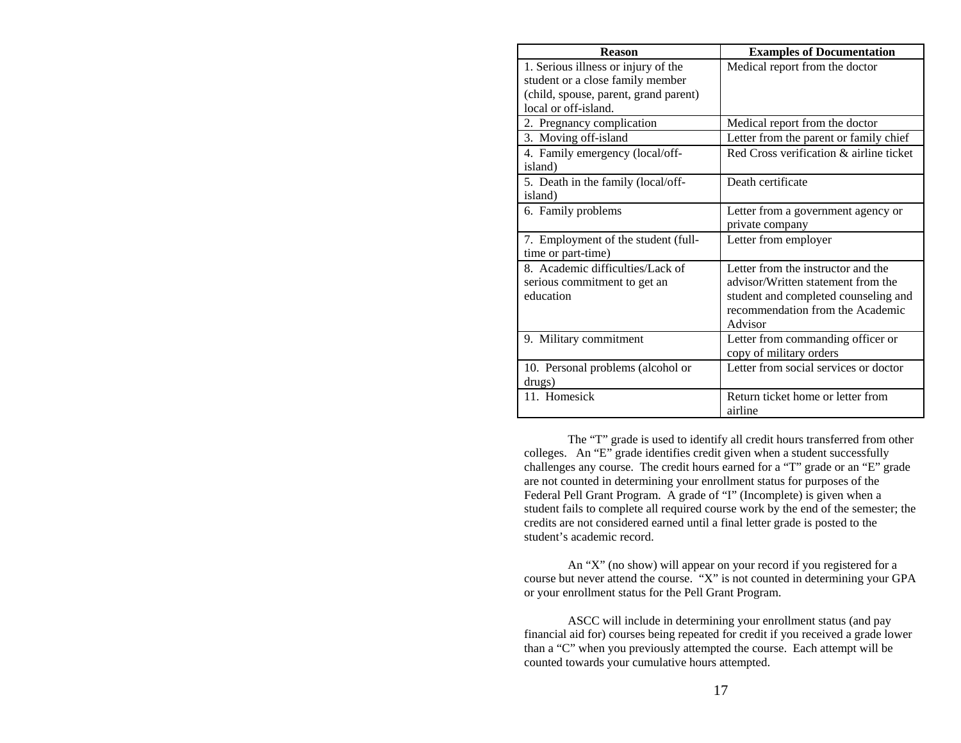| <b>Reason</b>                         | <b>Examples of Documentation</b>        |
|---------------------------------------|-----------------------------------------|
| 1. Serious illness or injury of the   | Medical report from the doctor          |
| student or a close family member      |                                         |
| (child, spouse, parent, grand parent) |                                         |
| local or off-island.                  |                                         |
| 2. Pregnancy complication             | Medical report from the doctor          |
| 3. Moving off-island                  | Letter from the parent or family chief  |
| 4. Family emergency (local/off-       | Red Cross verification & airline ticket |
| island)                               |                                         |
| 5. Death in the family (local/off-    | Death certificate                       |
| island)                               |                                         |
| 6. Family problems                    | Letter from a government agency or      |
|                                       | private company                         |
| 7. Employment of the student (full-   | Letter from employer                    |
| time or part-time)                    |                                         |
| 8. Academic difficulties/Lack of      | Letter from the instructor and the      |
| serious commitment to get an          | advisor/Written statement from the      |
| education                             | student and completed counseling and    |
|                                       | recommendation from the Academic        |
|                                       | Advisor                                 |
| 9. Military commitment                | Letter from commanding officer or       |
|                                       | copy of military orders                 |
| 10. Personal problems (alcohol or     | Letter from social services or doctor   |
| drugs)                                |                                         |
| 11. Homesick                          | Return ticket home or letter from       |
|                                       | airline                                 |

 The "T" grade is used to identify all credit hours transferred from other colleges. An "E" grade identifies credit given when a student successfully challenges any course. The credit hours earned for a "T" grade or an "E" grade are not counted in determining your enrollment status for purposes of the Federal Pell Grant Program. A grade of "I" (Incomplete) is given when a student fails to complete all required course work by the end of the semester; the credits are not considered earned until a final letter grade is posted to the student's academic record.

 An "X" (no show) will appear on your record if you registered for a course but never attend the course. "X" is not counted in determining your GPA or your enrollment status for the Pell Grant Program.

 ASCC will include in determining your enrollment status (and pay financial aid for) courses being repeated for credit if you received a grade lower than a "C" when you previously attempted the course. Each attempt will be counted towards your cumulative hours attempted.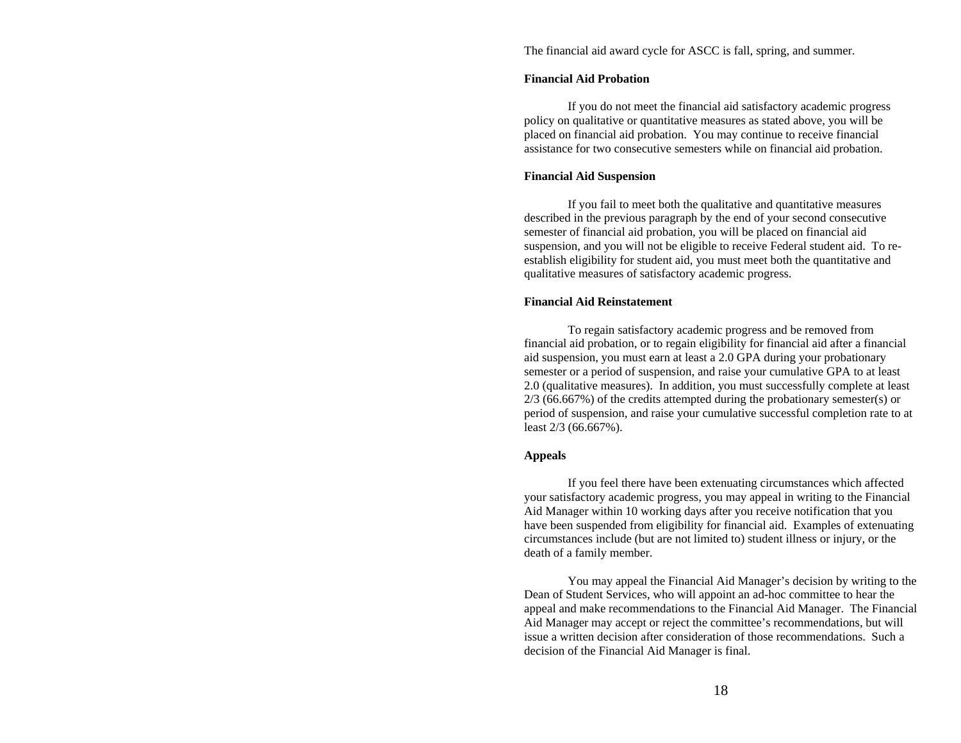The financial aid award cycle for ASCC is fall, spring, and summer.

## **Financial Aid Probation**

 If you do not meet the financial aid satisfactory academic progress policy on qualitative or quantitative measures as stated above, you will be placed on financial aid probation. You may continue to receive financial assistance for two consecutive semesters while on financial aid probation.

#### **Financial Aid Suspension**

 If you fail to meet both the qualitative and quantitative measures described in the previous paragraph by the end of your second consecutive semester of financial aid probation, you will be placed on financial aid suspension, and you will not be eligible to receive Federal student aid. To reestablish eligibility for student aid, you must meet both the quantitative and qualitative measures of satisfactory academic progress.

## **Financial Aid Reinstatement**

 To regain satisfactory academic progress and be removed from financial aid probation, or to regain eligibility for financial aid after a financial aid suspension, you must earn at least a 2.0 GPA during your probationary semester or a period of suspension, and raise your cumulative GPA to at least 2.0 (qualitative measures). In addition, you must successfully complete at least  $2/3$  (66.667%) of the credits attempted during the probationary semester(s) or period of suspension, and raise your cumulative successful completion rate to at least 2/3 (66.667%).

## **Appeals**

 If you feel there have been extenuating circumstances which affected your satisfactory academic progress, you may appeal in writing to the Financial Aid Manager within 10 working days after you receive notification that you have been suspended from eligibility for financial aid. Examples of extenuating circumstances include (but are not limited to) student illness or injury, or the death of a family member.

 You may appeal the Financial Aid Manager's decision by writing to the Dean of Student Services, who will appoint an ad-hoc committee to hear the appeal and make recommendations to the Financial Aid Manager. The Financial Aid Manager may accept or reject the committee's recommendations, but will issue a written decision after consideration of those recommendations. Such a decision of the Financial Aid Manager is final.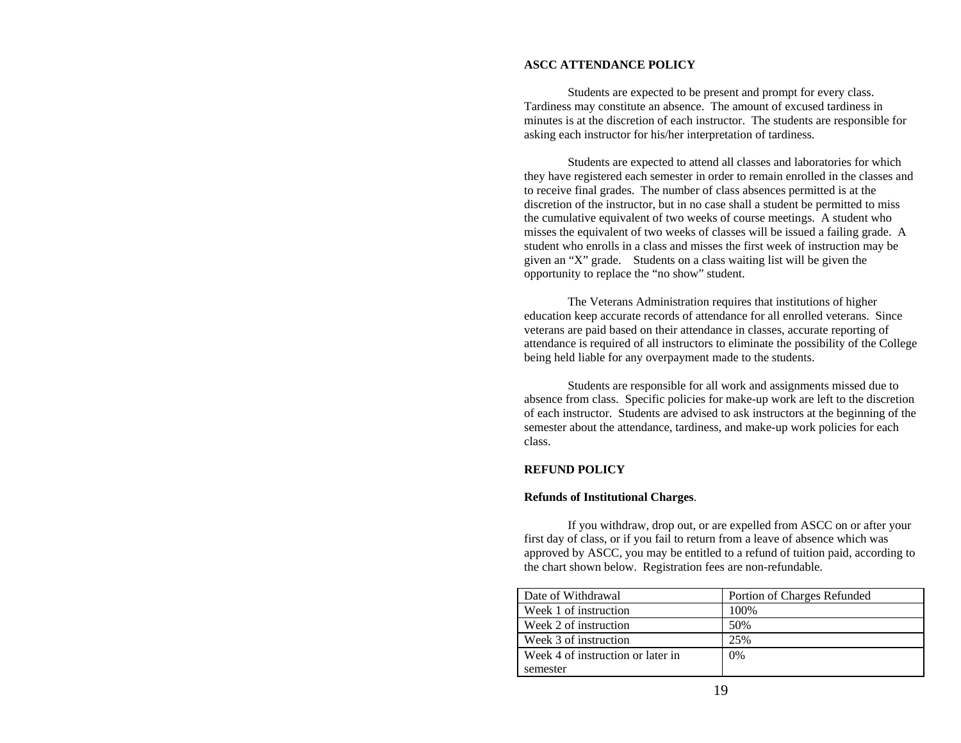# **ASCC ATTENDANCE POLICY**

 Students are expected to be present and prompt for every class. Tardiness may constitute an absence. The amount of excused tardiness in minutes is at the discretion of each instructor. The students are responsible for asking each instructor for his/her interpretation of tardiness.

 Students are expected to attend all classes and laboratories for which they have registered each semester in order to remain enrolled in the classes and to receive final grades. The number of class absences permitted is at the discretion of the instructor, but in no case shall a student be permitted to miss the cumulative equivalent of two weeks of course meetings. A student who misses the equivalent of two weeks of classes will be issued a failing grade. A student who enrolls in a class and misses the first week of instruction may be given an "X" grade. Students on a class waiting list will be given the opportunity to replace the "no show" student.

 The Veterans Administration requires that institutions of higher education keep accurate records of attendance for all enrolled veterans. Since veterans are paid based on their attendance in classes, accurate reporting of attendance is required of all instructors to eliminate the possibility of the College being held liable for any overpayment made to the students.

 Students are responsible for all work and assignments missed due to absence from class. Specific policies for make-up work are left to the discretion of each instructor. Students are advised to ask instructors at the beginning of the semester about the attendance, tardiness, and make-up work policies for each class.

# **REFUND POLICY**

## **Refunds of Institutional Charges**.

 If you withdraw, drop out, or are expelled from ASCC on or after your first day of class, or if you fail to return from a leave of absence which was approved by ASCC, you may be entitled to a refund of tuition paid, according to the chart shown below. Registration fees are non-refundable.

| Date of Withdrawal                | Portion of Charges Refunded |
|-----------------------------------|-----------------------------|
| Week 1 of instruction             | 100\%                       |
| Week 2 of instruction             | 50%                         |
| Week 3 of instruction             | 25%                         |
| Week 4 of instruction or later in | $0\%$                       |
| semester                          |                             |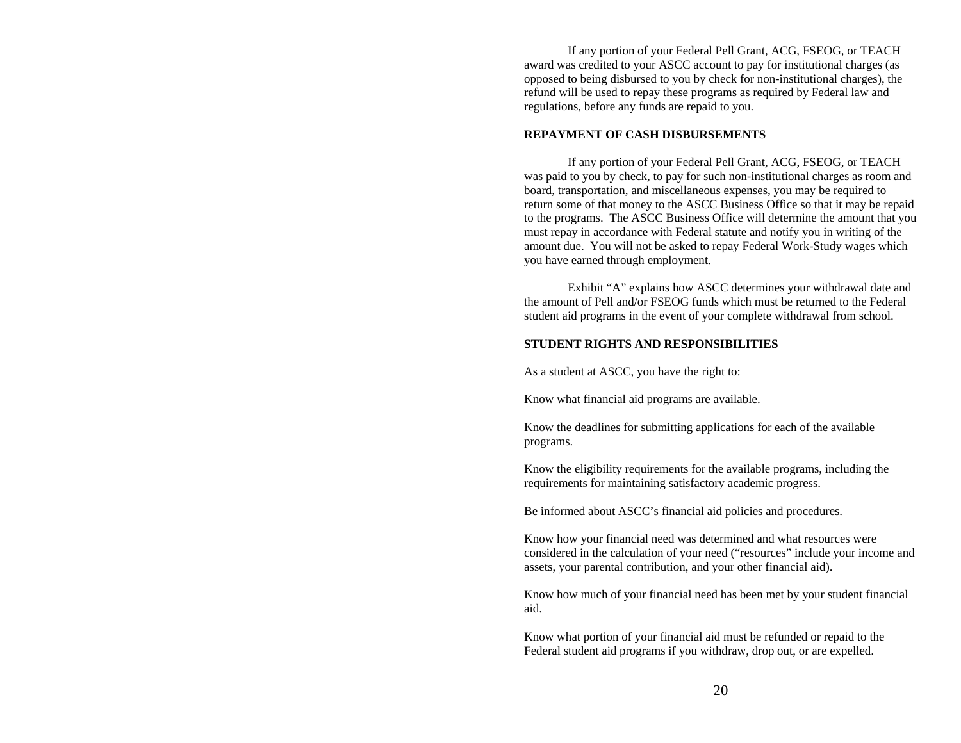If any portion of your Federal Pell Grant, ACG, FSEOG, or TEACH award was credited to your ASCC account to pay for institutional charges (as opposed to being disbursed to you by check for non-institutional charges), the refund will be used to repay these programs as required by Federal law and regulations, before any funds are repaid to you.

#### **REPAYMENT OF CASH DISBURSEMENTS**

 If any portion of your Federal Pell Grant, ACG, FSEOG, or TEACH was paid to you by check, to pay for such non-institutional charges as room and board, transportation, and miscellaneous expenses, you may be required to return some of that money to the ASCC Business Office so that it may be repaid to the programs. The ASCC Business Office will determine the amount that you must repay in accordance with Federal statute and notify you in writing of the amount due. You will not be asked to repay Federal Work-Study wages which you have earned through employment.

 Exhibit "A" explains how ASCC determines your withdrawal date and the amount of Pell and/or FSEOG funds which must be returned to the Federal student aid programs in the event of your complete withdrawal from school.

## **STUDENT RIGHTS AND RESPONSIBILITIES**

As a student at ASCC, you have the right to:

Know what financial aid programs are available.

Know the deadlines for submitting applications for each of the available programs.

Know the eligibility requirements for the available programs, including the requirements for maintaining satisfactory academic progress.

Be informed about ASCC's financial aid policies and procedures.

Know how your financial need was determined and what resources were considered in the calculation of your need ("resources" include your income and assets, your parental contribution, and your other financial aid).

Know how much of your financial need has been met by your student financial aid.

Know what portion of your financial aid must be refunded or repaid to the Federal student aid programs if you withdraw, drop out, or are expelled.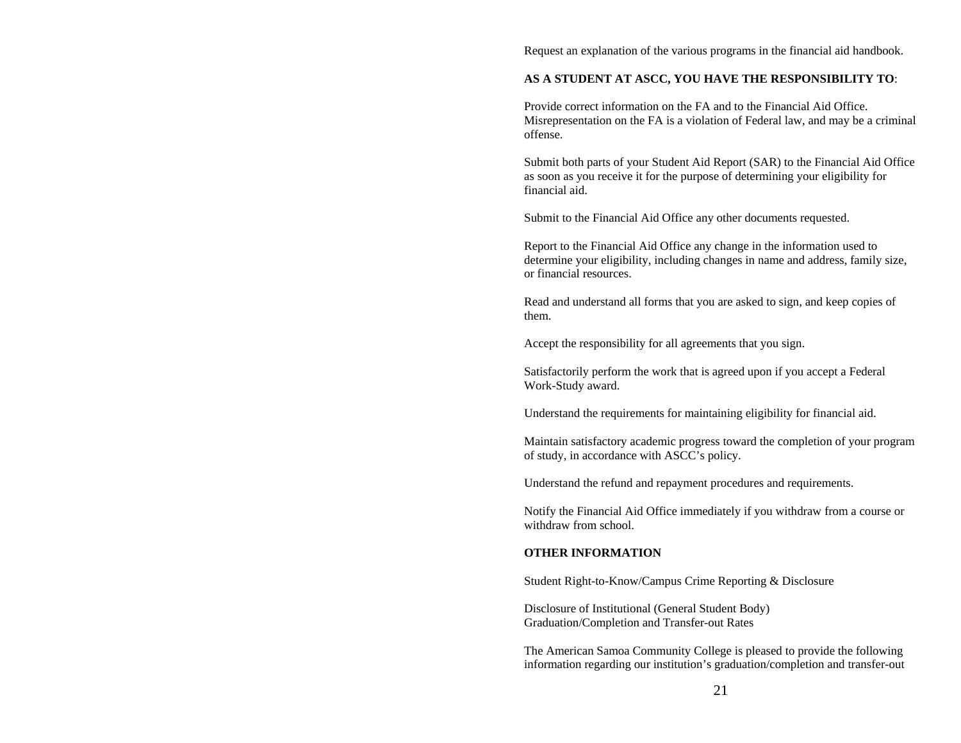Request an explanation of the various programs in the financial aid handbook.

## **AS A STUDENT AT ASCC, YOU HAVE THE RESPONSIBILITY TO**:

Provide correct information on the FA and to the Financial Aid Office. Misrepresentation on the FA is a violation of Federal law, and may be a criminal offense.

Submit both parts of your Student Aid Report (SAR) to the Financial Aid Office as soon as you receive it for the purpose of determining your eligibility for financial aid.

Submit to the Financial Aid Office any other documents requested.

Report to the Financial Aid Office any change in the information used to determine your eligibility, including changes in name and address, family size, or financial resources.

Read and understand all forms that you are asked to sign, and keep copies of them.

Accept the responsibility for all agreements that you sign.

Satisfactorily perform the work that is agreed upon if you accept a Federal Work-Study award.

Understand the requirements for maintaining eligibility for financial aid.

Maintain satisfactory academic progress toward the completion of your program of study, in accordance with ASCC's policy.

Understand the refund and repayment procedures and requirements.

Notify the Financial Aid Office immediately if you withdraw from a course or withdraw from school.

### **OTHER INFORMATION**

Student Right-to-Know/Campus Crime Reporting & Disclosure

Disclosure of Institutional (General Student Body) Graduation/Completion and Transfer-out Rates

The American Samoa Community College is pleased to provide the following information regarding our institution's graduation/completion and transfer-out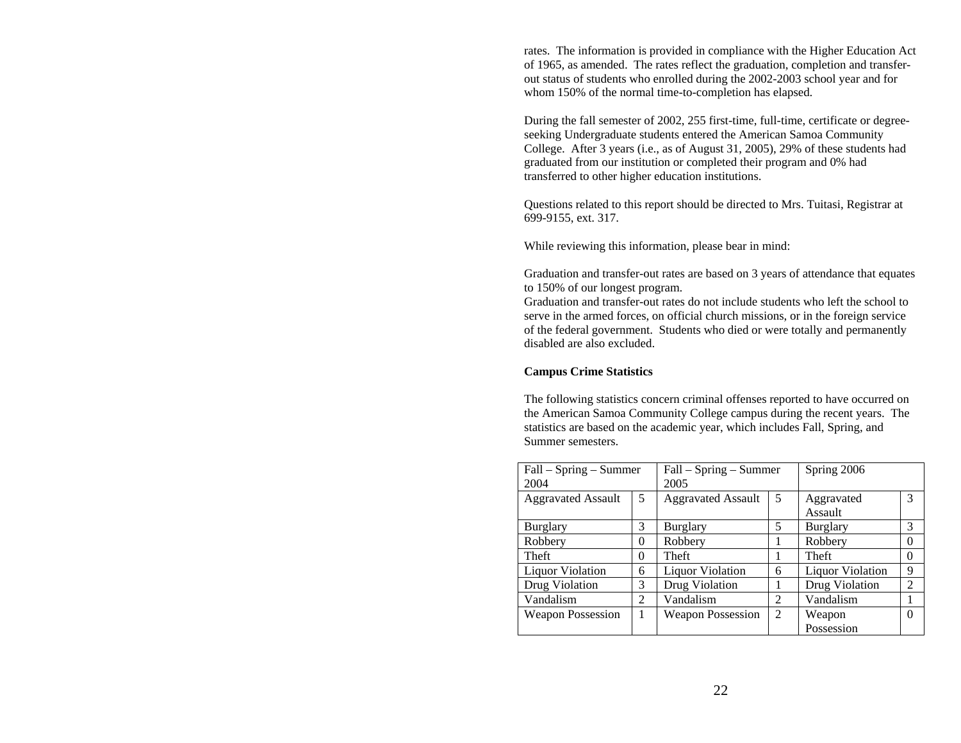rates. The information is provided in compliance with the Higher Education Act of 1965, as amended. The rates reflect the graduation, completion and transferout status of students who enrolled during the 2002-2003 school year and for whom 150% of the normal time-to-completion has elapsed.

During the fall semester of 2002, 255 first-time, full-time, certificate or degreeseeking Undergraduate students entered the American Samoa Community College. After 3 years (i.e., as of August 31, 2005), 29% of these students had graduated from our institution or completed their program and 0% had transferred to other higher education institutions.

Questions related to this report should be directed to Mrs. Tuitasi, Registrar at 699-9155, ext. 317.

While reviewing this information, please bear in mind:

Graduation and transfer-out rates are based on 3 years of attendance that equates to 150% of our longest program.

Graduation and transfer-out rates do not include students who left the school to serve in the armed forces, on official church missions, or in the foreign service of the federal government. Students who died or were totally and permanently disabled are also excluded.

# **Campus Crime Statistics**

The following statistics concern criminal offenses reported to have occurred on the American Samoa Community College campus during the recent years. The statistics are based on the academic year, which includes Fall, Spring, and Summer semesters.

| Fall – Spring – Summer<br>2004 |                | Fall – Spring – Summer<br>2005 |                | Spring 2006             |          |
|--------------------------------|----------------|--------------------------------|----------------|-------------------------|----------|
| <b>Aggravated Assault</b>      | 5              | <b>Aggravated Assault</b>      | 5              | Aggravated<br>Assault   | 3        |
| <b>Burglary</b>                | 3              | <b>Burglary</b>                | 5              | <b>Burglary</b>         | 3        |
| Robbery                        | $\Omega$       | Robbery                        |                | Robbery                 | $\Omega$ |
| Theft                          | $\Omega$       | Theft                          |                | Theft                   | 0        |
| <b>Liquor Violation</b>        | 6              | <b>Liquor Violation</b>        | 6              | <b>Liquor Violation</b> | 9        |
| Drug Violation                 | 3              | Drug Violation                 |                | Drug Violation          | 2        |
| Vandalism                      | $\mathfrak{D}$ | Vandalism                      | 2              | Vandalism               |          |
| <b>Weapon Possession</b>       |                | <b>Weapon Possession</b>       | $\overline{2}$ | Weapon                  | $\Omega$ |
|                                |                |                                |                | Possession              |          |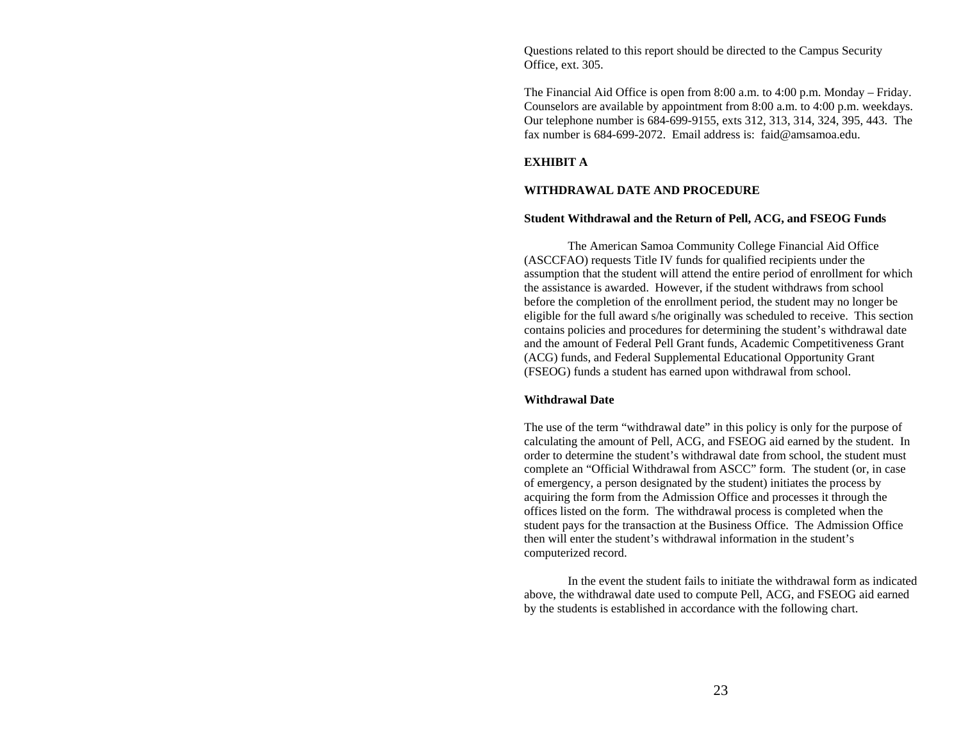Questions related to this report should be directed to the Campus Security Office, ext. 305.

The Financial Aid Office is open from 8:00 a.m. to 4:00 p.m. Monday – Friday. Counselors are available by appointment from 8:00 a.m. to 4:00 p.m. weekdays. Our telephone number is 684-699-9155, exts 312, 313, 314, 324, 395, 443. The fax number is 684-699-2072. Email address is: faid@amsamoa.edu.

## **EXHIBIT A**

## **WITHDRAWAL DATE AND PROCEDURE**

#### **Student Withdrawal and the Return of Pell, ACG, and FSEOG Funds**

 The American Samoa Community College Financial Aid Office (ASCCFAO) requests Title IV funds for qualified recipients under the assumption that the student will attend the entire period of enrollment for which the assistance is awarded. However, if the student withdraws from school before the completion of the enrollment period, the student may no longer be eligible for the full award s/he originally was scheduled to receive. This section contains policies and procedures for determining the student's withdrawal date and the amount of Federal Pell Grant funds, Academic Competitiveness Grant (ACG) funds, and Federal Supplemental Educational Opportunity Grant (FSEOG) funds a student has earned upon withdrawal from school.

## **Withdrawal Date**

The use of the term "withdrawal date" in this policy is only for the purpose of calculating the amount of Pell, ACG, and FSEOG aid earned by the student. In order to determine the student's withdrawal date from school, the student must complete an "Official Withdrawal from ASCC" form. The student (or, in case of emergency, a person designated by the student) initiates the process by acquiring the form from the Admission Office and processes it through the offices listed on the form. The withdrawal process is completed when the student pays for the transaction at the Business Office. The Admission Office then will enter the student's withdrawal information in the student's computerized record.

 In the event the student fails to initiate the withdrawal form as indicated above, the withdrawal date used to compute Pell, ACG, and FSEOG aid earned by the students is established in accordance with the following chart.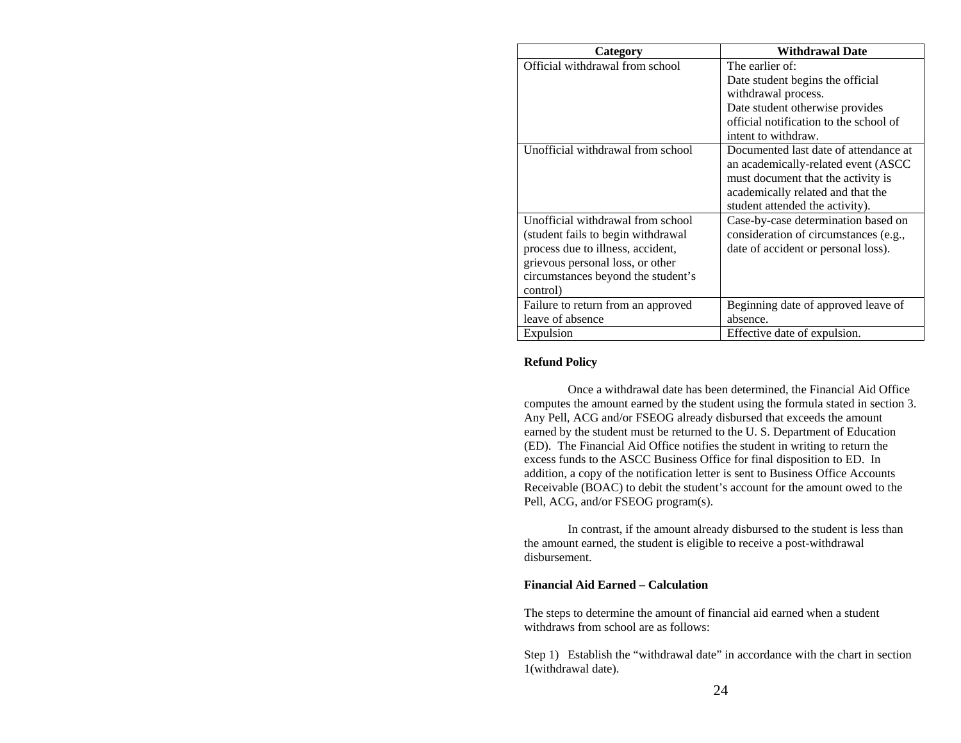| Category                           | <b>Withdrawal Date</b>                 |
|------------------------------------|----------------------------------------|
| Official withdrawal from school    | The earlier of:                        |
|                                    | Date student begins the official       |
|                                    | withdrawal process.                    |
|                                    | Date student otherwise provides        |
|                                    | official notification to the school of |
|                                    | intent to withdraw.                    |
| Unofficial withdrawal from school  | Documented last date of attendance at  |
|                                    | an academically-related event (ASCC    |
|                                    | must document that the activity is     |
|                                    | academically related and that the      |
|                                    | student attended the activity).        |
| Unofficial withdrawal from school  | Case-by-case determination based on    |
| (student fails to begin withdrawal | consideration of circumstances (e.g.,  |
| process due to illness, accident,  | date of accident or personal loss).    |
| grievous personal loss, or other   |                                        |
| circumstances beyond the student's |                                        |
| control)                           |                                        |
| Failure to return from an approved | Beginning date of approved leave of    |
| leave of absence                   | absence.                               |
| Expulsion                          | Effective date of expulsion.           |

# **Refund Policy**

Once a withdrawal date has been determined, the Financial Aid Office computes the amount earned by the student using the formula stated in section 3. Any Pell, ACG and/or FSEOG already disbursed that exceeds the amount earned by the student must be returned to the U. S. Department of Education (ED). The Financial Aid Office notifies the student in writing to return the excess funds to the ASCC Business Office for final disposition to ED. In addition, a copy of the notification letter is sent to Business Office Accounts Receivable (BOAC) to debit the student's account for the amount owed to the Pell, ACG, and/or FSEOG program(s).

 In contrast, if the amount already disbursed to the student is less than the amount earned, the student is eligible to receive a post-withdrawal disbursement.

# **Financial Aid Earned – Calculation**

The steps to determine the amount of financial aid earned when a student withdraws from school are as follows:

Step 1) Establish the "withdrawal date" in accordance with the chart in section 1(withdrawal date).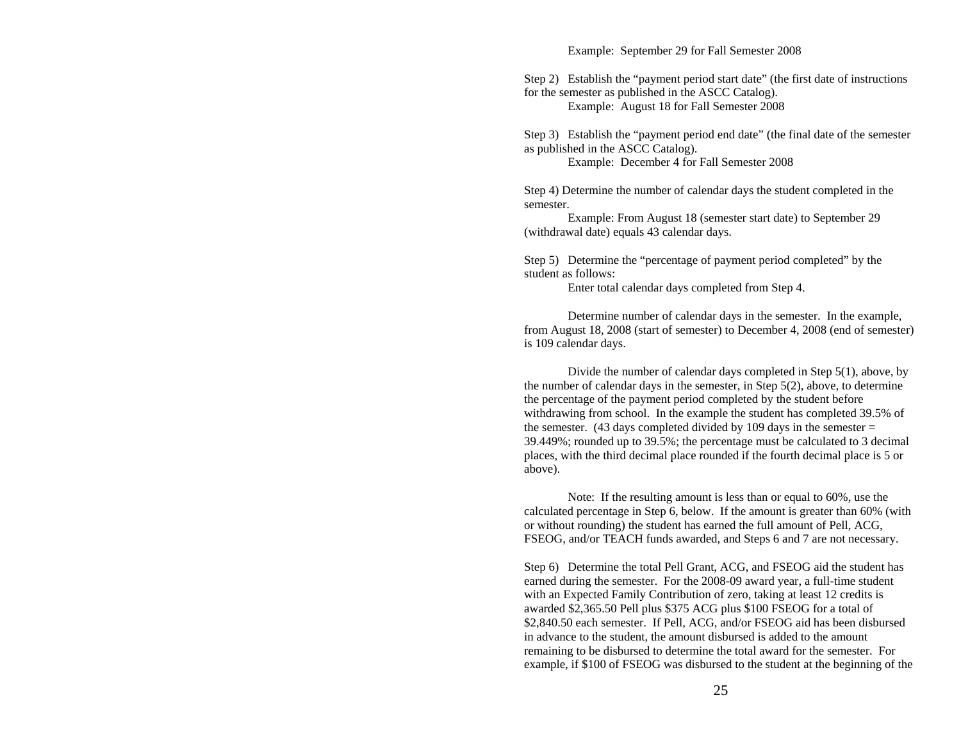Example: September 29 for Fall Semester 2008

Step 2) Establish the "payment period start date" (the first date of instructions for the semester as published in the ASCC Catalog).

Example: August 18 for Fall Semester 2008

Step 3) Establish the "payment period end date" (the final date of the semester as published in the ASCC Catalog).

Example: December 4 for Fall Semester 2008

Step 4) Determine the number of calendar days the student completed in the semester.

 Example: From August 18 (semester start date) to September 29 (withdrawal date) equals 43 calendar days.

Step 5) Determine the "percentage of payment period completed" by the student as follows:

Enter total calendar days completed from Step 4.

Determine number of calendar days in the semester. In the example, from August 18, 2008 (start of semester) to December 4, 2008 (end of semester) is 109 calendar days.

Divide the number of calendar days completed in Step 5(1), above, by the number of calendar days in the semester, in Step 5(2), above, to determine the percentage of the payment period completed by the student before withdrawing from school. In the example the student has completed 39.5% of the semester. (43 days completed divided by 109 days in the semester  $=$ 39.449%; rounded up to 39.5%; the percentage must be calculated to 3 decimal places, with the third decimal place rounded if the fourth decimal place is 5 or above).

Note: If the resulting amount is less than or equal to 60%, use the calculated percentage in Step 6, below. If the amount is greater than 60% (with or without rounding) the student has earned the full amount of Pell, ACG, FSEOG, and/or TEACH funds awarded, and Steps 6 and 7 are not necessary.

Step 6) Determine the total Pell Grant, ACG, and FSEOG aid the student has earned during the semester. For the 2008-09 award year, a full-time student with an Expected Family Contribution of zero, taking at least 12 credits is awarded \$2,365.50 Pell plus \$375 ACG plus \$100 FSEOG for a total of \$2,840.50 each semester. If Pell, ACG, and/or FSEOG aid has been disbursed in advance to the student, the amount disbursed is added to the amount remaining to be disbursed to determine the total award for the semester. For example, if \$100 of FSEOG was disbursed to the student at the beginning of the